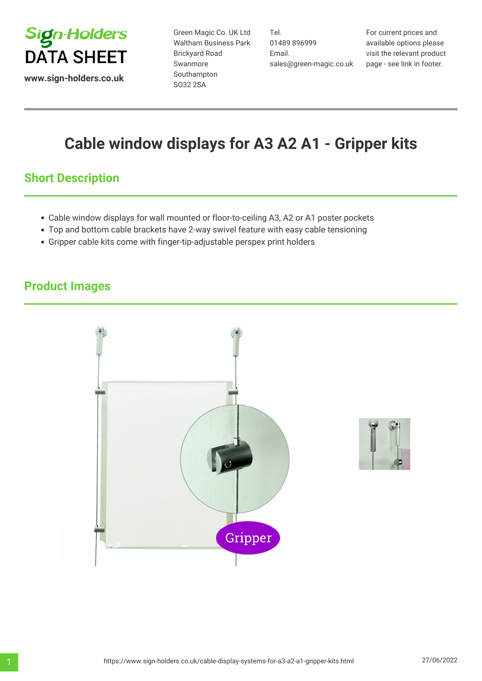

**www.sign-holders.co.uk**

Green Magic Co. UK Ltd Waltham Business Park Brickyard Road Swanmore Southampton SO32 2SA

Tel. 01489 896999 Email. sales@green-magic.co.uk

For current prices and available options please visit the relevant product page - see link in footer.

# **Cable window displays for A3 A2 A1 - Gripper kits**

## **Short Description**

- Cable window displays for wall mounted or floor-to-ceiling A3, A2 or A1 poster pockets
- Top and bottom cable brackets have 2-way swivel feature with easy cable tensioning
- Gripper cable kits come with finger-tip-adjustable perspex print holders

## **Product Images**



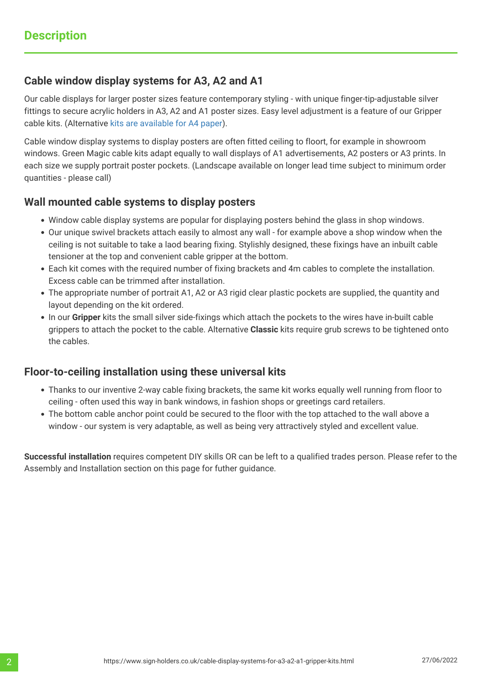### **Cable window display systems for A3, A2 and A1**

Our cable displays for larger poster sizes feature contemporary styling - with unique finger-tip-adjustable silver fittings to secure acrylic holders in A3, A2 and A1 poster sizes. Easy level adjustment is a feature of our Gripper cable kits. (Alternative [kits are available for A4 paper\)](https://www.sign-holders.co.uk/sign-fixings/cable-display-systems/a4-cable-display-gripper-kits.html).

Cable window display systems to display posters are often fitted ceiling to floort, for example in showroom windows. Green Magic cable kits adapt equally to wall displays of A1 advertisements, A2 posters or A3 prints. In each size we supply portrait poster pockets. (Landscape available on longer lead time subject to minimum order quantities - please call)

### **Wall mounted cable systems to display posters**

- Window cable display systems are popular for displaying posters behind the glass in shop windows.
- Our unique swivel brackets attach easily to almost any wall for example above a shop window when the ceiling is not suitable to take a laod bearing fixing. Stylishly designed, these fixings have an inbuilt cable tensioner at the top and convenient cable gripper at the bottom.
- Each kit comes with the required number of fixing brackets and 4m cables to complete the installation. Excess cable can be trimmed after installation.
- The appropriate number of portrait A1, A2 or A3 rigid clear plastic pockets are supplied, the quantity and layout depending on the kit ordered.
- In our **Gripper** kits the small silver side-fixings which attach the pockets to the wires have in-built cable grippers to attach the pocket to the cable. Alternative **Classic** kits require grub screws to be tightened onto the cables.

#### **Floor-to-ceiling installation using these universal kits**

- Thanks to our inventive 2-way cable fixing brackets, the same kit works equally well running from floor to ceiling - often used this way in bank windows, in fashion shops or greetings card retailers.
- The bottom cable anchor point could be secured to the floor with the top attached to the wall above a window - our system is very adaptable, as well as being very attractively styled and excellent value.

**Successful installation** requires competent DIY skills OR can be left to a qualified trades person. Please refer to the Assembly and Installation section on this page for futher guidance.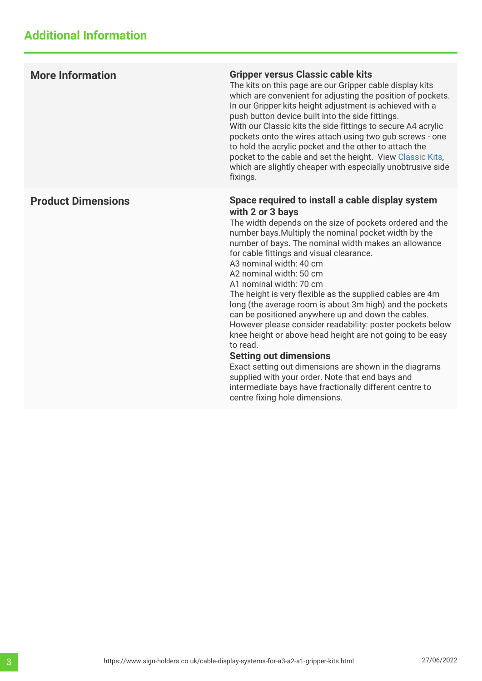| <b>More Information</b>   | <b>Gripper versus Classic cable kits</b><br>The kits on this page are our Gripper cable display kits<br>which are convenient for adjusting the position of pockets.<br>In our Gripper kits height adjustment is achieved with a<br>push button device built into the side fittings.<br>With our Classic kits the side fittings to secure A4 acrylic<br>pockets onto the wires attach using two gub screws - one<br>to hold the acrylic pocket and the other to attach the<br>pocket to the cable and set the height. View Classic Kits,<br>which are slightly cheaper with especially unobtrusive side<br>fixings.                                                                                                                                                                                                                                                                                                                              |
|---------------------------|-------------------------------------------------------------------------------------------------------------------------------------------------------------------------------------------------------------------------------------------------------------------------------------------------------------------------------------------------------------------------------------------------------------------------------------------------------------------------------------------------------------------------------------------------------------------------------------------------------------------------------------------------------------------------------------------------------------------------------------------------------------------------------------------------------------------------------------------------------------------------------------------------------------------------------------------------|
| <b>Product Dimensions</b> | Space required to install a cable display system<br>with 2 or 3 bays<br>The width depends on the size of pockets ordered and the<br>number bays. Multiply the nominal pocket width by the<br>number of bays. The nominal width makes an allowance<br>for cable fittings and visual clearance.<br>A3 nominal width: 40 cm<br>A2 nominal width: 50 cm<br>A1 nominal width: 70 cm<br>The height is very flexible as the supplied cables are 4m<br>long (the average room is about 3m high) and the pockets<br>can be positioned anywhere up and down the cables.<br>However please consider readability: poster pockets below<br>knee height or above head height are not going to be easy<br>to read.<br><b>Setting out dimensions</b><br>Exact setting out dimensions are shown in the diagrams<br>supplied with your order. Note that end bays and<br>intermediate bays have fractionally different centre to<br>centre fixing hole dimensions. |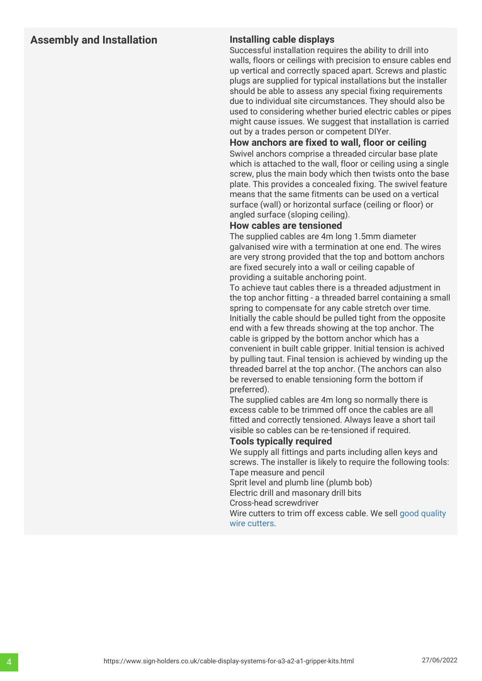#### **Assembly and Installation Installing cable displays**

Successful installation requires the ability to drill into walls, floors or ceilings with precision to ensure cables end up vertical and correctly spaced apart. Screws and plastic plugs are supplied for typical installations but the installer should be able to assess any special fixing requirements due to individual site circumstances. They should also be used to considering whether buried electric cables or pipes might cause issues. We suggest that installation is carried out by a trades person or competent DIYer.

#### **How anchors are fixed to wall, floor or ceiling**

Swivel anchors comprise a threaded circular base plate which is attached to the wall, floor or ceiling using a single screw, plus the main body which then twists onto the base plate. This provides a concealed fixing. The swivel feature means that the same fitments can be used on a vertical surface (wall) or horizontal surface (ceiling or floor) or angled surface (sloping ceiling).

#### **How cables are tensioned**

The supplied cables are 4m long 1.5mm diameter galvanised wire with a termination at one end. The wires are very strong provided that the top and bottom anchors are fixed securely into a wall or ceiling capable of providing a suitable anchoring point.

To achieve taut cables there is a threaded adjustment in the top anchor fitting - a threaded barrel containing a small spring to compensate for any cable stretch over time. Initially the cable should be pulled tight from the opposite end with a few threads showing at the top anchor. The cable is gripped by the bottom anchor which has a convenient in built cable gripper. Initial tension is achived by pulling taut. Final tension is achieved by winding up the threaded barrel at the top anchor. (The anchors can also be reversed to enable tensioning form the bottom if preferred).

The supplied cables are 4m long so normally there is excess cable to be trimmed off once the cables are all fitted and correctly tensioned. Always leave a short tail visible so cables can be re-tensioned if required.

#### **Tools typically required**

We supply all fittings and parts including allen keys and screws. The installer is likely to require the following tools: Tape measure and pencil

Sprit level and plumb line (plumb bob)

Electric drill and masonary drill bits

Cross-head screwdriver

Wire cutters to trim off excess cable. We sell [good quality](https://www.sign-holders.co.uk/hanging-wire-systems/fixings-and-components/wire-rope-cable-cutter.html) [wire cutters.](https://www.sign-holders.co.uk/hanging-wire-systems/fixings-and-components/wire-rope-cable-cutter.html)